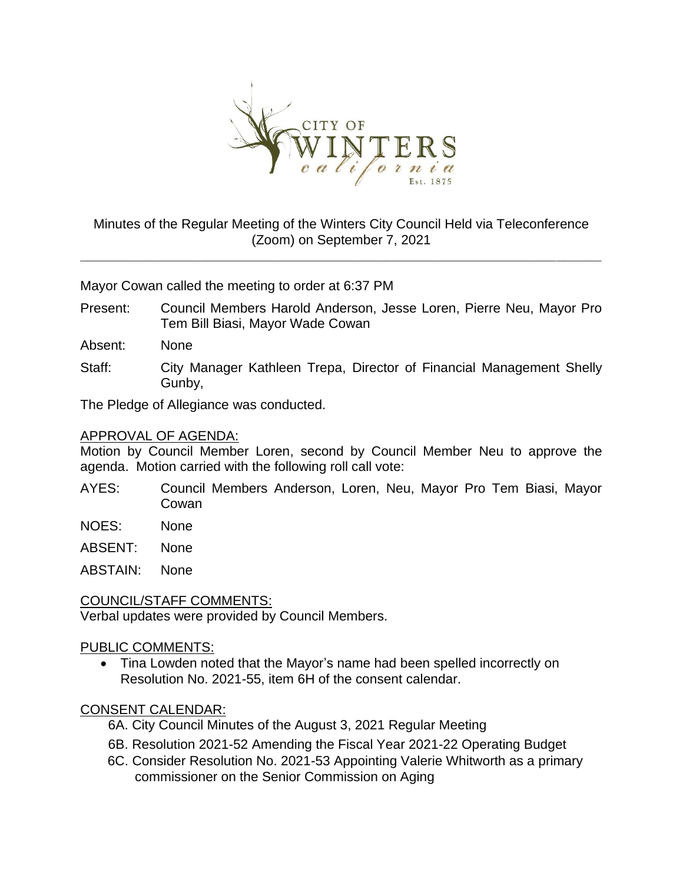

# Minutes of the Regular Meeting of the Winters City Council Held via Teleconference (Zoom) on September 7, 2021

**\_\_\_\_\_\_\_\_\_\_\_\_\_\_\_\_\_\_\_\_\_\_\_\_\_\_\_\_\_\_\_\_\_\_\_\_\_\_\_\_\_\_\_\_\_\_\_\_\_\_\_\_\_\_\_\_\_\_\_\_\_\_\_\_\_\_\_\_\_\_**

Mayor Cowan called the meeting to order at 6:37 PM

Present: Council Members Harold Anderson, Jesse Loren, Pierre Neu, Mayor Pro Tem Bill Biasi, Mayor Wade Cowan

Absent: None

Staff: City Manager Kathleen Trepa, Director of Financial Management Shelly Gunby,

The Pledge of Allegiance was conducted.

#### APPROVAL OF AGENDA:

Motion by Council Member Loren, second by Council Member Neu to approve the agenda. Motion carried with the following roll call vote:

- AYES: Council Members Anderson, Loren, Neu, Mayor Pro Tem Biasi, Mayor Cowan
- NOES: None

ABSENT: None

ABSTAIN: None

### COUNCIL/STAFF COMMENTS:

Verbal updates were provided by Council Members.

### PUBLIC COMMENTS:

• Tina Lowden noted that the Mayor's name had been spelled incorrectly on Resolution No. 2021-55, item 6H of the consent calendar.

### CONSENT CALENDAR:

- 6A. City Council Minutes of the August 3, 2021 Regular Meeting
- 6B. Resolution 2021-52 Amending the Fiscal Year 2021-22 Operating Budget
- 6C. Consider Resolution No. 2021-53 Appointing Valerie Whitworth as a primary commissioner on the Senior Commission on Aging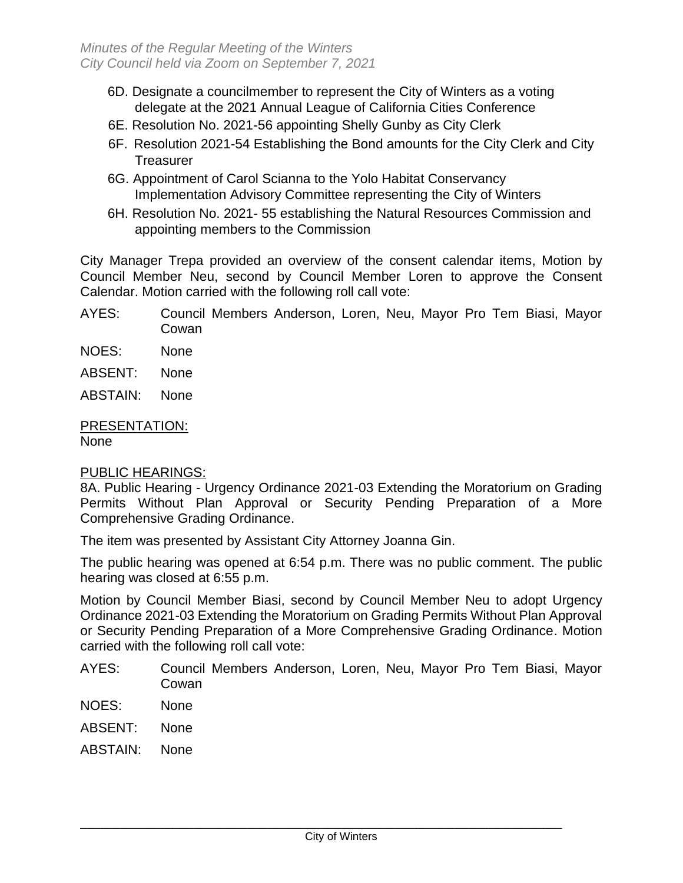- 6D. Designate a councilmember to represent the City of Winters as a voting delegate at the 2021 Annual League of California Cities Conference
- 6E. Resolution No. 2021-56 appointing Shelly Gunby as City Clerk
- 6F. Resolution 2021-54 Establishing the Bond amounts for the City Clerk and City **Treasurer**
- 6G. Appointment of Carol Scianna to the Yolo Habitat Conservancy Implementation Advisory Committee representing the City of Winters
- 6H. Resolution No. 2021- 55 establishing the Natural Resources Commission and appointing members to the Commission

City Manager Trepa provided an overview of the consent calendar items, Motion by Council Member Neu, second by Council Member Loren to approve the Consent Calendar. Motion carried with the following roll call vote:

- AYES: Council Members Anderson, Loren, Neu, Mayor Pro Tem Biasi, Mayor Cowan
- NOES: None
- ABSENT: None
- ABSTAIN: None

# PRESENTATION:

None

### PUBLIC HEARINGS:

8A. Public Hearing - Urgency Ordinance 2021-03 Extending the Moratorium on Grading Permits Without Plan Approval or Security Pending Preparation of a More Comprehensive Grading Ordinance.

The item was presented by Assistant City Attorney Joanna Gin.

The public hearing was opened at 6:54 p.m. There was no public comment. The public hearing was closed at 6:55 p.m.

Motion by Council Member Biasi, second by Council Member Neu to adopt Urgency Ordinance 2021-03 Extending the Moratorium on Grading Permits Without Plan Approval or Security Pending Preparation of a More Comprehensive Grading Ordinance. Motion carried with the following roll call vote:

- AYES: Council Members Anderson, Loren, Neu, Mayor Pro Tem Biasi, Mayor Cowan
- NOES: None
- ABSENT: None
- ABSTAIN: None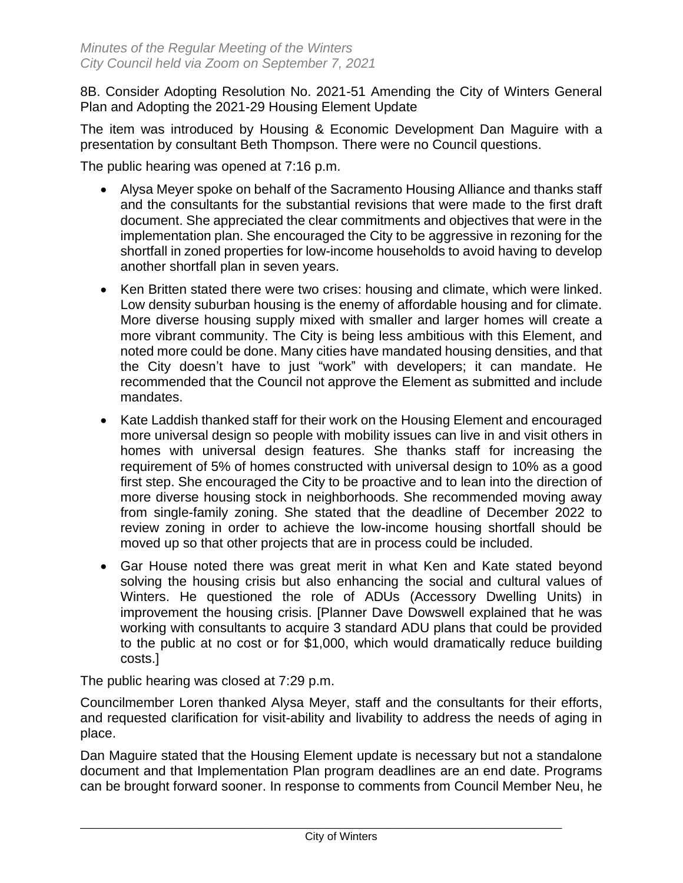8B. Consider Adopting Resolution No. 2021-51 Amending the City of Winters General Plan and Adopting the 2021-29 Housing Element Update

The item was introduced by Housing & Economic Development Dan Maguire with a presentation by consultant Beth Thompson. There were no Council questions.

The public hearing was opened at 7:16 p.m.

- Alysa Meyer spoke on behalf of the Sacramento Housing Alliance and thanks staff and the consultants for the substantial revisions that were made to the first draft document. She appreciated the clear commitments and objectives that were in the implementation plan. She encouraged the City to be aggressive in rezoning for the shortfall in zoned properties for low-income households to avoid having to develop another shortfall plan in seven years.
- Ken Britten stated there were two crises: housing and climate, which were linked. Low density suburban housing is the enemy of affordable housing and for climate. More diverse housing supply mixed with smaller and larger homes will create a more vibrant community. The City is being less ambitious with this Element, and noted more could be done. Many cities have mandated housing densities, and that the City doesn't have to just "work" with developers; it can mandate. He recommended that the Council not approve the Element as submitted and include mandates.
- Kate Laddish thanked staff for their work on the Housing Element and encouraged more universal design so people with mobility issues can live in and visit others in homes with universal design features. She thanks staff for increasing the requirement of 5% of homes constructed with universal design to 10% as a good first step. She encouraged the City to be proactive and to lean into the direction of more diverse housing stock in neighborhoods. She recommended moving away from single-family zoning. She stated that the deadline of December 2022 to review zoning in order to achieve the low-income housing shortfall should be moved up so that other projects that are in process could be included.
- Gar House noted there was great merit in what Ken and Kate stated beyond solving the housing crisis but also enhancing the social and cultural values of Winters. He questioned the role of ADUs (Accessory Dwelling Units) in improvement the housing crisis. [Planner Dave Dowswell explained that he was working with consultants to acquire 3 standard ADU plans that could be provided to the public at no cost or for \$1,000, which would dramatically reduce building costs.]

The public hearing was closed at 7:29 p.m.

Councilmember Loren thanked Alysa Meyer, staff and the consultants for their efforts, and requested clarification for visit-ability and livability to address the needs of aging in place.

Dan Maguire stated that the Housing Element update is necessary but not a standalone document and that Implementation Plan program deadlines are an end date. Programs can be brought forward sooner. In response to comments from Council Member Neu, he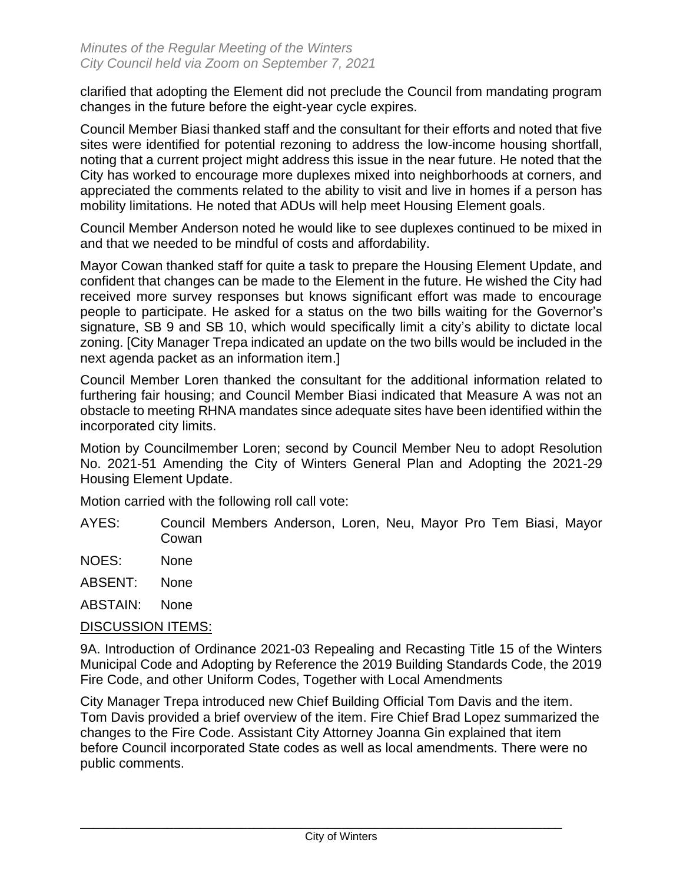clarified that adopting the Element did not preclude the Council from mandating program changes in the future before the eight-year cycle expires.

Council Member Biasi thanked staff and the consultant for their efforts and noted that five sites were identified for potential rezoning to address the low-income housing shortfall, noting that a current project might address this issue in the near future. He noted that the City has worked to encourage more duplexes mixed into neighborhoods at corners, and appreciated the comments related to the ability to visit and live in homes if a person has mobility limitations. He noted that ADUs will help meet Housing Element goals.

Council Member Anderson noted he would like to see duplexes continued to be mixed in and that we needed to be mindful of costs and affordability.

Mayor Cowan thanked staff for quite a task to prepare the Housing Element Update, and confident that changes can be made to the Element in the future. He wished the City had received more survey responses but knows significant effort was made to encourage people to participate. He asked for a status on the two bills waiting for the Governor's signature, SB 9 and SB 10, which would specifically limit a city's ability to dictate local zoning. [City Manager Trepa indicated an update on the two bills would be included in the next agenda packet as an information item.]

Council Member Loren thanked the consultant for the additional information related to furthering fair housing; and Council Member Biasi indicated that Measure A was not an obstacle to meeting RHNA mandates since adequate sites have been identified within the incorporated city limits.

Motion by Councilmember Loren; second by Council Member Neu to adopt Resolution No. 2021-51 Amending the City of Winters General Plan and Adopting the 2021-29 Housing Element Update.

Motion carried with the following roll call vote:

AYES: Council Members Anderson, Loren, Neu, Mayor Pro Tem Biasi, Mayor Cowan

NOES: None

ABSENT: None

ABSTAIN: None

#### DISCUSSION ITEMS:

9A. Introduction of Ordinance 2021-03 Repealing and Recasting Title 15 of the Winters Municipal Code and Adopting by Reference the 2019 Building Standards Code, the 2019 Fire Code, and other Uniform Codes, Together with Local Amendments

City Manager Trepa introduced new Chief Building Official Tom Davis and the item. Tom Davis provided a brief overview of the item. Fire Chief Brad Lopez summarized the changes to the Fire Code. Assistant City Attorney Joanna Gin explained that item before Council incorporated State codes as well as local amendments. There were no public comments.